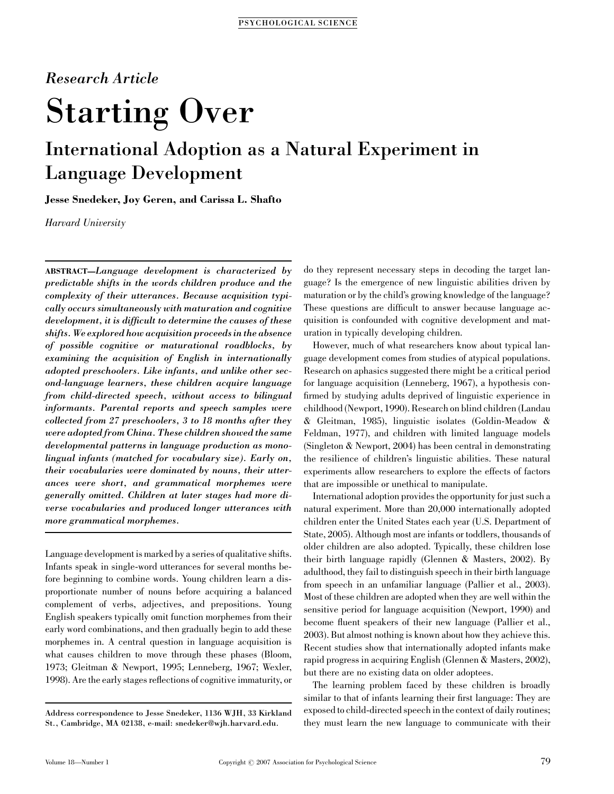# Research Article

# Starting Over International Adoption as a Natural Experiment in Language Development

Jesse Snedeker, Joy Geren, and Carissa L. Shafto

Harvard University

ABSTRACT—Language development is characterized by predictable shifts in the words children produce and the complexity of their utterances. Because acquisition typically occurs simultaneously with maturation and cognitive development, it is difficult to determine the causes of these shifts. We explored how acquisition proceeds in the absence of possible cognitive or maturational roadblocks, by examining the acquisition of English in internationally adopted preschoolers. Like infants, and unlike other second-language learners, these children acquire language from child-directed speech, without access to bilingual informants. Parental reports and speech samples were collected from 27 preschoolers, 3 to 18 months after they were adopted from China. These children showed the same developmental patterns in language production as monolingual infants (matched for vocabulary size). Early on, their vocabularies were dominated by nouns, their utterances were short, and grammatical morphemes were generally omitted. Children at later stages had more diverse vocabularies and produced longer utterances with more grammatical morphemes.

Language development is marked by a series of qualitative shifts. Infants speak in single-word utterances for several months before beginning to combine words. Young children learn a disproportionate number of nouns before acquiring a balanced complement of verbs, adjectives, and prepositions. Young English speakers typically omit function morphemes from their early word combinations, and then gradually begin to add these morphemes in. A central question in language acquisition is what causes children to move through these phases (Bloom, 1973; Gleitman & Newport, 1995; Lenneberg, 1967; Wexler, 1998). Are the early stages reflections of cognitive immaturity, or

do they represent necessary steps in decoding the target language? Is the emergence of new linguistic abilities driven by maturation or by the child's growing knowledge of the language? These questions are difficult to answer because language acquisition is confounded with cognitive development and maturation in typically developing children.

However, much of what researchers know about typical language development comes from studies of atypical populations. Research on aphasics suggested there might be a critical period for language acquisition (Lenneberg, 1967), a hypothesis confirmed by studying adults deprived of linguistic experience in childhood (Newport, 1990). Research on blind children (Landau & Gleitman, 1985), linguistic isolates (Goldin-Meadow & Feldman, 1977), and children with limited language models (Singleton & Newport, 2004) has been central in demonstrating the resilience of children's linguistic abilities. These natural experiments allow researchers to explore the effects of factors that are impossible or unethical to manipulate.

International adoption provides the opportunity for just such a natural experiment. More than 20,000 internationally adopted children enter the United States each year (U.S. Department of State, 2005). Although most are infants or toddlers, thousands of older children are also adopted. Typically, these children lose their birth language rapidly (Glennen & Masters, 2002). By adulthood, they fail to distinguish speech in their birth language from speech in an unfamiliar language (Pallier et al., 2003). Most of these children are adopted when they are well within the sensitive period for language acquisition (Newport, 1990) and become fluent speakers of their new language (Pallier et al., 2003). But almost nothing is known about how they achieve this. Recent studies show that internationally adopted infants make rapid progress in acquiring English (Glennen & Masters, 2002), but there are no existing data on older adoptees.

The learning problem faced by these children is broadly similar to that of infants learning their first language: They are exposed to child-directed speech in the context of daily routines; they must learn the new language to communicate with their

Address correspondence to Jesse Snedeker, 1136 WJH, 33 Kirkland St., Cambridge, MA 02138, e-mail: snedeker@wjh.harvard.edu.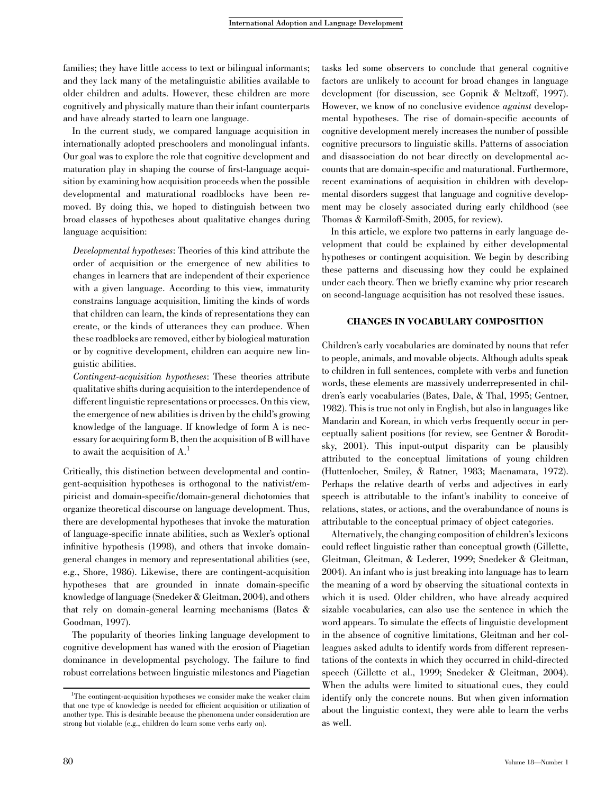families; they have little access to text or bilingual informants; and they lack many of the metalinguistic abilities available to older children and adults. However, these children are more cognitively and physically mature than their infant counterparts and have already started to learn one language.

In the current study, we compared language acquisition in internationally adopted preschoolers and monolingual infants. Our goal was to explore the role that cognitive development and maturation play in shaping the course of first-language acquisition by examining how acquisition proceeds when the possible developmental and maturational roadblocks have been removed. By doing this, we hoped to distinguish between two broad classes of hypotheses about qualitative changes during language acquisition:

Developmental hypotheses: Theories of this kind attribute the order of acquisition or the emergence of new abilities to changes in learners that are independent of their experience with a given language. According to this view, immaturity constrains language acquisition, limiting the kinds of words that children can learn, the kinds of representations they can create, or the kinds of utterances they can produce. When these roadblocks are removed, either by biological maturation or by cognitive development, children can acquire new linguistic abilities.

Contingent-acquisition hypotheses: These theories attribute qualitative shifts during acquisition to the interdependence of different linguistic representations or processes. On this view, the emergence of new abilities is driven by the child's growing knowledge of the language. If knowledge of form A is necessary for acquiring form B, then the acquisition of B will have to await the acquisition of  $A<sup>1</sup>$ .

Critically, this distinction between developmental and contingent-acquisition hypotheses is orthogonal to the nativist/empiricist and domain-specific/domain-general dichotomies that organize theoretical discourse on language development. Thus, there are developmental hypotheses that invoke the maturation of language-specific innate abilities, such as Wexler's optional infinitive hypothesis (1998), and others that invoke domaingeneral changes in memory and representational abilities (see, e.g., Shore, 1986). Likewise, there are contingent-acquisition hypotheses that are grounded in innate domain-specific knowledge of language (Snedeker & Gleitman, 2004), and others that rely on domain-general learning mechanisms (Bates & Goodman, 1997).

The popularity of theories linking language development to cognitive development has waned with the erosion of Piagetian dominance in developmental psychology. The failure to find robust correlations between linguistic milestones and Piagetian tasks led some observers to conclude that general cognitive factors are unlikely to account for broad changes in language development (for discussion, see Gopnik & Meltzoff, 1997). However, we know of no conclusive evidence against developmental hypotheses. The rise of domain-specific accounts of cognitive development merely increases the number of possible cognitive precursors to linguistic skills. Patterns of association and disassociation do not bear directly on developmental accounts that are domain-specific and maturational. Furthermore, recent examinations of acquisition in children with developmental disorders suggest that language and cognitive development may be closely associated during early childhood (see Thomas & Karmiloff-Smith, 2005, for review).

In this article, we explore two patterns in early language development that could be explained by either developmental hypotheses or contingent acquisition. We begin by describing these patterns and discussing how they could be explained under each theory. Then we briefly examine why prior research on second-language acquisition has not resolved these issues.

# CHANGES IN VOCABULARY COMPOSITION

Children's early vocabularies are dominated by nouns that refer to people, animals, and movable objects. Although adults speak to children in full sentences, complete with verbs and function words, these elements are massively underrepresented in children's early vocabularies (Bates, Dale, & Thal, 1995; Gentner, 1982). This is true not only in English, but also in languages like Mandarin and Korean, in which verbs frequently occur in perceptually salient positions (for review, see Gentner & Boroditsky, 2001). This input-output disparity can be plausibly attributed to the conceptual limitations of young children (Huttenlocher, Smiley, & Ratner, 1983; Macnamara, 1972). Perhaps the relative dearth of verbs and adjectives in early speech is attributable to the infant's inability to conceive of relations, states, or actions, and the overabundance of nouns is attributable to the conceptual primacy of object categories.

Alternatively, the changing composition of children's lexicons could reflect linguistic rather than conceptual growth (Gillette, Gleitman, Gleitman, & Lederer, 1999; Snedeker & Gleitman, 2004). An infant who is just breaking into language has to learn the meaning of a word by observing the situational contexts in which it is used. Older children, who have already acquired sizable vocabularies, can also use the sentence in which the word appears. To simulate the effects of linguistic development in the absence of cognitive limitations, Gleitman and her colleagues asked adults to identify words from different representations of the contexts in which they occurred in child-directed speech (Gillette et al., 1999; Snedeker & Gleitman, 2004). When the adults were limited to situational cues, they could identify only the concrete nouns. But when given information about the linguistic context, they were able to learn the verbs as well.

<sup>&</sup>lt;sup>1</sup>The contingent-acquisition hypotheses we consider make the weaker claim that one type of knowledge is needed for efficient acquisition or utilization of another type. This is desirable because the phenomena under consideration are strong but violable (e.g., children do learn some verbs early on).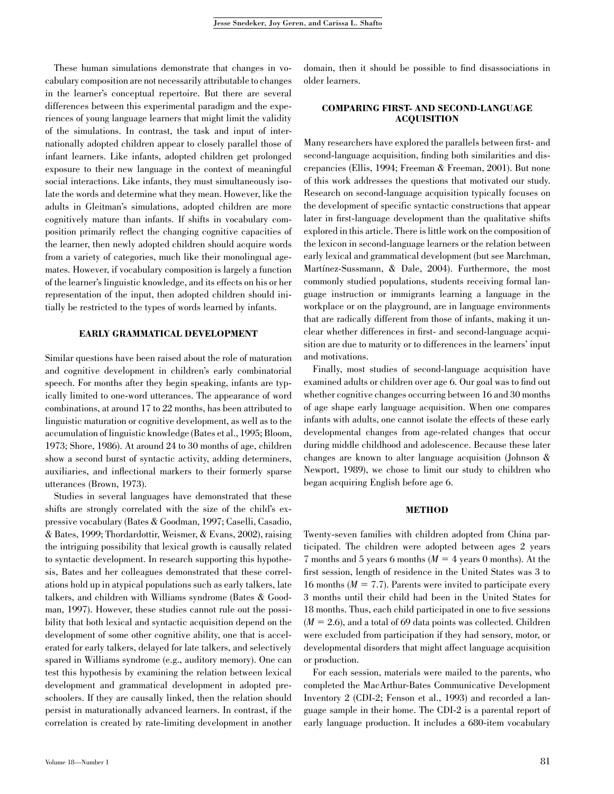These human simulations demonstrate that changes in vocabulary composition are not necessarily attributable to changes in the learner's conceptual repertoire. But there are several differences between this experimental paradigm and the experiences of young language learners that might limit the validity of the simulations. In contrast, the task and input of internationally adopted children appear to closely parallel those of infant learners. Like infants, adopted children get prolonged exposure to their new language in the context of meaningful social interactions. Like infants, they must simultaneously isolate the words and determine what they mean. However, like the adults in Gleitman's simulations, adopted children are more cognitively mature than infants. If shifts in vocabulary composition primarily reflect the changing cognitive capacities of the learner, then newly adopted children should acquire words from a variety of categories, much like their monolingual agemates. However, if vocabulary composition is largely a function of the learner's linguistic knowledge, and its effects on his or her representation of the input, then adopted children should initially be restricted to the types of words learned by infants.

### EARLY GRAMMATICAL DEVELOPMENT

Similar questions have been raised about the role of maturation and cognitive development in children's early combinatorial speech. For months after they begin speaking, infants are typically limited to one-word utterances. The appearance of word combinations, at around 17 to 22 months, has been attributed to linguistic maturation or cognitive development, as well as to the accumulation of linguistic knowledge (Bates et al., 1995; Bloom, 1973; Shore, 1986). At around 24 to 30 months of age, children show a second burst of syntactic activity, adding determiners, auxiliaries, and inflectional markers to their formerly sparse utterances (Brown, 1973).

Studies in several languages have demonstrated that these shifts are strongly correlated with the size of the child's expressive vocabulary (Bates & Goodman, 1997; Caselli, Casadio, & Bates, 1999; Thordardottir, Weismer, & Evans, 2002), raising the intriguing possibility that lexical growth is causally related to syntactic development. In research supporting this hypothesis, Bates and her colleagues demonstrated that these correlations hold up in atypical populations such as early talkers, late talkers, and children with Williams syndrome (Bates & Goodman, 1997). However, these studies cannot rule out the possibility that both lexical and syntactic acquisition depend on the development of some other cognitive ability, one that is accelerated for early talkers, delayed for late talkers, and selectively spared in Williams syndrome (e.g., auditory memory). One can test this hypothesis by examining the relation between lexical development and grammatical development in adopted preschoolers. If they are causally linked, then the relation should persist in maturationally advanced learners. In contrast, if the correlation is created by rate-limiting development in another

Volume 18—Number 1  $81$ 

domain, then it should be possible to find disassociations in older learners.

# COMPARING FIRST- AND SECOND-LANGUAGE ACQUISITION

Many researchers have explored the parallels between first- and second-language acquisition, finding both similarities and discrepancies (Ellis, 1994; Freeman & Freeman, 2001). But none of this work addresses the questions that motivated our study. Research on second-language acquisition typically focuses on the development of specific syntactic constructions that appear later in first-language development than the qualitative shifts explored in this article. There is little work on the composition of the lexicon in second-language learners or the relation between early lexical and grammatical development (but see Marchman, Martínez-Sussmann, & Dale, 2004). Furthermore, the most commonly studied populations, students receiving formal language instruction or immigrants learning a language in the workplace or on the playground, are in language environments that are radically different from those of infants, making it unclear whether differences in first- and second-language acquisition are due to maturity or to differences in the learners' input and motivations.

Finally, most studies of second-language acquisition have examined adults or children over age 6. Our goal was to find out whether cognitive changes occurring between 16 and 30 months of age shape early language acquisition. When one compares infants with adults, one cannot isolate the effects of these early developmental changes from age-related changes that occur during middle childhood and adolescence. Because these later changes are known to alter language acquisition (Johnson & Newport, 1989), we chose to limit our study to children who began acquiring English before age 6.

#### METHOD

Twenty-seven families with children adopted from China participated. The children were adopted between ages 2 years 7 months and 5 years 6 months ( $M = 4$  years 0 months). At the first session, length of residence in the United States was 3 to 16 months  $(M = 7.7)$ . Parents were invited to participate every 3 months until their child had been in the United States for 18 months. Thus, each child participated in one to five sessions  $(M = 2.6)$ , and a total of 69 data points was collected. Children were excluded from participation if they had sensory, motor, or developmental disorders that might affect language acquisition or production.

For each session, materials were mailed to the parents, who completed the MacArthur-Bates Communicative Development Inventory 2 (CDI-2; Fenson et al., 1993) and recorded a language sample in their home. The CDI-2 is a parental report of early language production. It includes a 680-item vocabulary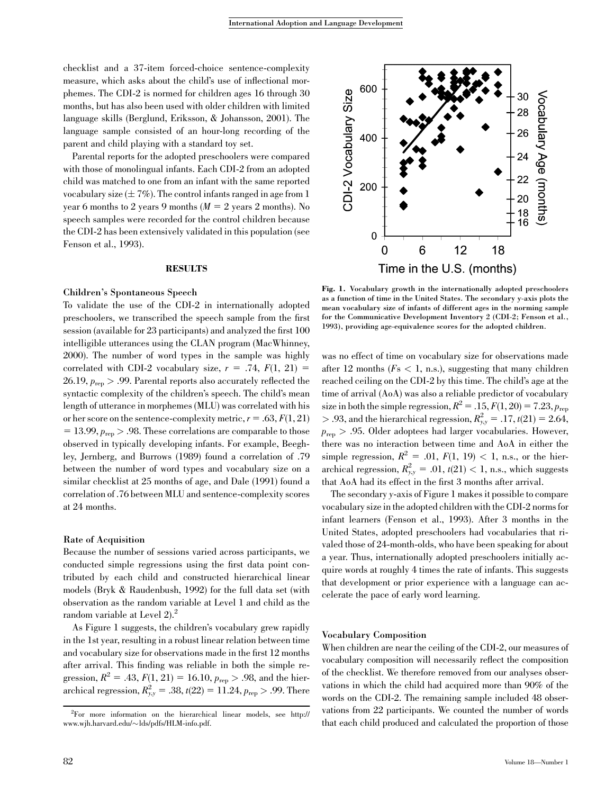checklist and a 37-item forced-choice sentence-complexity measure, which asks about the child's use of inflectional morphemes. The CDI-2 is normed for children ages 16 through 30 months, but has also been used with older children with limited language skills (Berglund, Eriksson, & Johansson, 2001). The language sample consisted of an hour-long recording of the parent and child playing with a standard toy set.

Parental reports for the adopted preschoolers were compared with those of monolingual infants. Each CDI-2 from an adopted child was matched to one from an infant with the same reported vocabulary size  $(\pm 7\%)$ . The control infants ranged in age from 1 year 6 months to 2 years 9 months  $(M = 2$  years 2 months). No speech samples were recorded for the control children because the CDI-2 has been extensively validated in this population (see Fenson et al., 1993).

#### RESULTS

# Children's Spontaneous Speech

To validate the use of the CDI-2 in internationally adopted preschoolers, we transcribed the speech sample from the first session (available for 23 participants) and analyzed the first 100 intelligible utterances using the CLAN program (MacWhinney, 2000). The number of word types in the sample was highly correlated with CDI-2 vocabulary size,  $r = .74$ ,  $F(1, 21) =$ 26.19,  $p_{\text{rep}} > .99$ . Parental reports also accurately reflected the syntactic complexity of the children's speech. The child's mean length of utterance in morphemes (MLU) was correlated with his or her score on the sentence-complexity metric,  $r = .63, F(1, 21)$  $= 13.99, p_{\text{ren}} > .98$ . These correlations are comparable to those observed in typically developing infants. For example, Beeghley, Jernberg, and Burrows (1989) found a correlation of .79 between the number of word types and vocabulary size on a similar checklist at 25 months of age, and Dale (1991) found a correlation of .76 between MLU and sentence-complexity scores at 24 months.

#### Rate of Acquisition

Because the number of sessions varied across participants, we conducted simple regressions using the first data point contributed by each child and constructed hierarchical linear models (Bryk & Raudenbush, 1992) for the full data set (with observation as the random variable at Level 1 and child as the random variable at Level 2).<sup>2</sup>

As Figure 1 suggests, the children's vocabulary grew rapidly in the 1st year, resulting in a robust linear relation between time and vocabulary size for observations made in the first 12 months after arrival. This finding was reliable in both the simple regression,  $R^2 = .43$ ,  $F(1, 21) = 16.10$ ,  $p_{\text{rep}} > .98$ , and the hierarchical regression,  $R_{y,y}^2 = .38$ ,  $t(22) = 11.24$ ,  $p_{\text{rep}} > .99$ . There



Fig. 1. Vocabulary growth in the internationally adopted preschoolers as a function of time in the United States. The secondary y-axis plots the mean vocabulary size of infants of different ages in the norming sample for the Communicative Development Inventory 2 (CDI-2; Fenson et al., 1993), providing age-equivalence scores for the adopted children.

was no effect of time on vocabulary size for observations made after 12 months ( $Fs < 1$ , n.s.), suggesting that many children reached ceiling on the CDI-2 by this time. The child's age at the time of arrival (AoA) was also a reliable predictor of vocabulary size in both the simple regression,  $R^2 = .15$ ,  $F(1, 20) = 7.23$ ,  $p_{\text{rep}}$ > .93, and the hierarchical regression,  $R_{yy}^2 = .17$ ,  $t(21) = 2.64$ ,  $p_{\text{rep}} > .95$ . Older adoptees had larger vocabularies. However, there was no interaction between time and AoA in either the simple regression,  $R^2 = .01$ ,  $F(1, 19) < 1$ , n.s., or the hierarchical regression,  $R_{y,y}^2 = .01$ ,  $t(21) < 1$ , n.s., which suggests that AoA had its effect in the first 3 months after arrival.

The secondary  $\gamma$ -axis of Figure 1 makes it possible to compare vocabulary size in the adopted children with the CDI-2 norms for infant learners (Fenson et al., 1993). After 3 months in the United States, adopted preschoolers had vocabularies that rivaled those of 24-month-olds, who have been speaking for about a year. Thus, internationally adopted preschoolers initially acquire words at roughly 4 times the rate of infants. This suggests that development or prior experience with a language can accelerate the pace of early word learning.

# Vocabulary Composition

When children are near the ceiling of the CDI-2, our measures of vocabulary composition will necessarily reflect the composition of the checklist. We therefore removed from our analyses observations in which the child had acquired more than 90% of the words on the CDI-2. The remaining sample included 48 observations from 22 participants. We counted the number of words that each child produced and calculated the proportion of those

<sup>&</sup>lt;sup>2</sup>For more information on the hierarchical linear models, see http:// www.wjh.harvard.edu/ $\sim$ lds/pdfs/HLM-info.pdf.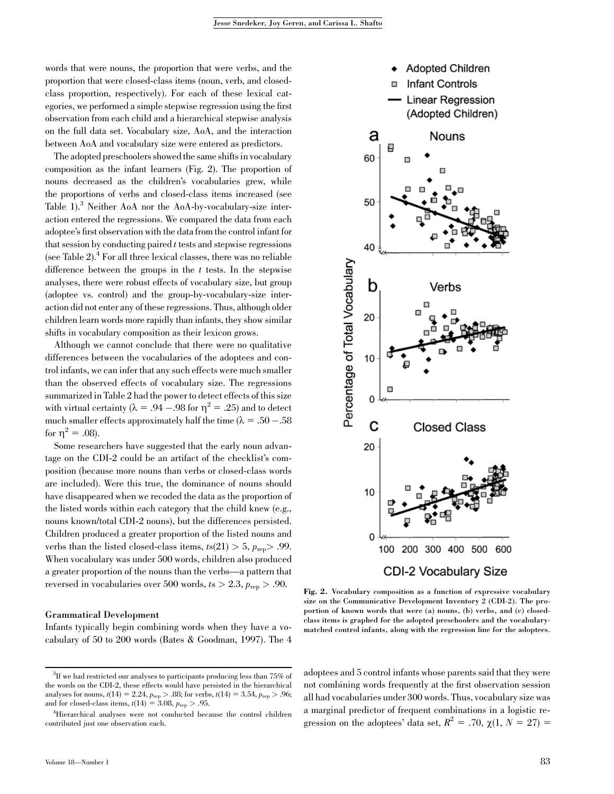words that were nouns, the proportion that were verbs, and the proportion that were closed-class items (noun, verb, and closedclass proportion, respectively). For each of these lexical categories, we performed a simple stepwise regression using the first observation from each child and a hierarchical stepwise analysis on the full data set. Vocabulary size, AoA, and the interaction between AoA and vocabulary size were entered as predictors.

The adopted preschoolers showed the same shifts in vocabulary composition as the infant learners (Fig. 2). The proportion of nouns decreased as the children's vocabularies grew, while the proportions of verbs and closed-class items increased (see Table 1).<sup>3</sup> Neither AoA nor the AoA-by-vocabulary-size interaction entered the regressions. We compared the data from each adoptee's first observation with the data from the control infant for that session by conducting paired  $t$  tests and stepwise regressions (see Table 2). $^4$  For all three lexical classes, there was no reliable difference between the groups in the  $t$  tests. In the stepwise analyses, there were robust effects of vocabulary size, but group (adoptee vs. control) and the group-by-vocabulary-size interaction did not enter any of these regressions. Thus, although older children learn words more rapidly than infants, they show similar shifts in vocabulary composition as their lexicon grows.

Although we cannot conclude that there were no qualitative differences between the vocabularies of the adoptees and control infants, we can infer that any such effects were much smaller than the observed effects of vocabulary size. The regressions summarized in Table 2 had the power to detect effects of this size with virtual certainty ( $\lambda = .94 - .98$  for  $\eta^2 = .25$ ) and to detect much smaller effects approximately half the time ( $\lambda = .50 - .58$ ) for  $\eta^2 = .08$ ).

Some researchers have suggested that the early noun advantage on the CDI-2 could be an artifact of the checklist's composition (because more nouns than verbs or closed-class words are included). Were this true, the dominance of nouns should have disappeared when we recoded the data as the proportion of the listed words within each category that the child knew (e.g., nouns known/total CDI-2 nouns), but the differences persisted. Children produced a greater proportion of the listed nouns and verbs than the listed closed-class items,  $ts(21) > 5$ ,  $p_{\text{rep}} > .99$ . When vocabulary was under 500 words, children also produced a greater proportion of the nouns than the verbs—a pattern that reversed in vocabularies over 500 words,  $ts > 2.3$ ,  $p_{\text{rep}} > .90$ .

#### Grammatical Development

Infants typically begin combining words when they have a vocabulary of 50 to 200 words (Bates & Goodman, 1997). The 4



Fig. 2. Vocabulary composition as a function of expressive vocabulary size on the Communicative Development Inventory 2 (CDI-2). The proportion of known words that were (a) nouns, (b) verbs, and (c) closedclass items is graphed for the adopted preschoolers and the vocabularymatched control infants, along with the regression line for the adoptees.

adoptees and 5 control infants whose parents said that they were not combining words frequently at the first observation session all had vocabularies under 300 words. Thus, vocabulary size was a marginal predictor of frequent combinations in a logistic regression on the adoptees' data set,  $R^2 = .70$ ,  $\chi(1, N = 27) =$ 

<sup>&</sup>lt;sup>3</sup>If we had restricted our analyses to participants producing less than 75% of the words on the CDI-2, these effects would have persisted in the hierarchical analyses for nouns,  $t(14) = 2.24$ ,  $p_{\text{rep}} > .88$ ; for verbs,  $t(14) = 3.54$ ,  $p_{\text{rep}} > .96$ ; and for closed-class items,  $t(14) = 3.08, p_{\text{rep}} > .95$ .

<sup>4</sup> Hierarchical analyses were not conducted because the control children contributed just one observation each.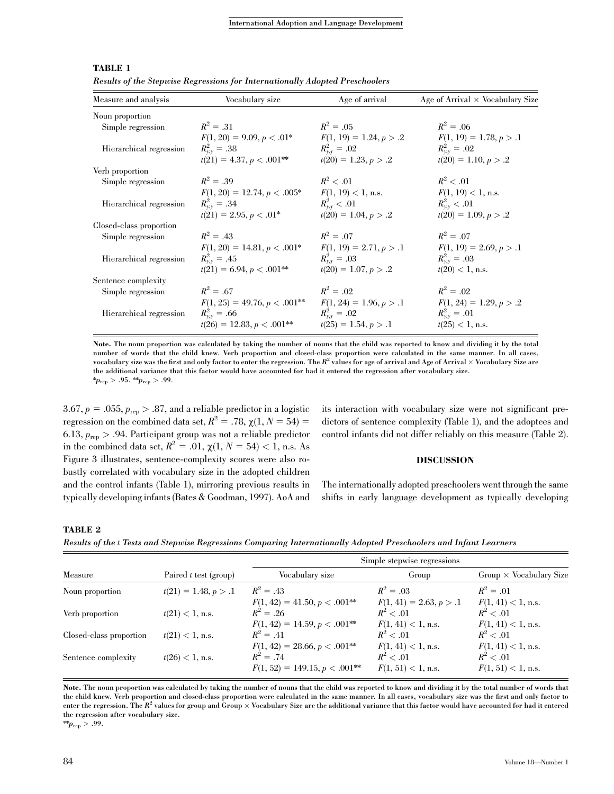| Measure and analysis    | Vocabulary size                 | Age of arrival             | Age of Arrival $\times$ Vocabulary Size |
|-------------------------|---------------------------------|----------------------------|-----------------------------------------|
| Noun proportion         |                                 |                            |                                         |
| Simple regression       | $R^2 = .31$                     | $R^2 = .05$                | $R^2 = .06$                             |
|                         | $F(1, 20) = 9.09, p < 0.01*$    | $F(1, 19) = 1.24, p > .2$  | $F(1, 19) = 1.78, p > 0.1$              |
| Hierarchical regression | $R_{xx}^2 = .38$                | $R_{xx}^2 = .02$           | $R_{xx}^2 = .02$                        |
|                         | $t(21) = 4.37, p < .001**$      | $t(20) = 1.23, p > .2$     | $t(20) = 1.10, p > .2$                  |
| Verb proportion         |                                 |                            |                                         |
| Simple regression       | $R^2 = .39$                     | $R^2 < .01$                | $R^2 < .01$                             |
|                         | $F(1, 20) = 12.74, p < .005*$   | $F(1, 19) < 1$ , n.s.      | $F(1, 19) < 1$ , n.s.                   |
| Hierarchical regression | $R_{xx}^2 = .34$                | $R_{xx}^2 < .01$           | $R_{xx}^2 < .01$                        |
|                         | $t(21) = 2.95, p < 0.01*$       | $t(20) = 1.04, p > .2$     | $t(20) = 1.09, p > .2$                  |
| Closed-class proportion |                                 |                            |                                         |
| Simple regression       | $R^2 = .43$                     | $R^2 = .07$                | $R^2 = .07$                             |
|                         | $F(1, 20) = 14.81, p < .001*$   | $F(1, 19) = 2.71, p > 0.1$ | $F(1, 19) = 2.69, p > 0.1$              |
| Hierarchical regression | $R_{xx}^2 = .45$                | $R_{xx}^2 = .03$           | $R_{xx}^2 = .03$                        |
|                         | $t(21) = 6.94, p < .001**$      | $t(20) = 1.07, p > .2$     | $t(20) < 1$ , n.s.                      |
| Sentence complexity     |                                 |                            |                                         |
| Simple regression       | $R^2 = .67$                     | $R^2 = .02$                | $R^2 = .02$                             |
|                         | $F(1, 25) = 49.76, p < .001$ ** | $F(1, 24) = 1.96, p > 0.1$ | $F(1, 24) = 1.29, p > .2$               |
| Hierarchical regression | $R_{xx}^2 = .66$                | $R_{xx}^2 = .02$           | $R_{xx}^2 = .01$                        |
|                         | $t(26) = 12.83, p < .001**$     | $t(25) = 1.54, p > .1$     | $t(25) < 1$ , n.s.                      |

#### TABLE 1

Results of the Stepwise Regressions for Internationally Adopted Preschoolers

Note. The noun proportion was calculated by taking the number of nouns that the child was reported to know and dividing it by the total number of words that the child knew. Verb proportion and closed-class proportion were calculated in the same manner. In all cases, vocabulary size was the first and only factor to enter the regression. The  $R^2$  values for age of arrival and Age of Arrival  $\times$  Vocabulary Size are the additional variance that this factor would have accounted for had it entered the regression after vocabulary size.  $n_{\text{rep}} > .95.$   $\text{*}p_{\text{rep}} > .99$ .

3.67,  $p = .055$ ,  $p_{\text{rep}} > .87$ , and a reliable predictor in a logistic regression on the combined data set,  $R^2 = .78$ ,  $\chi(1, N = 54) =$ 6.13,  $p_{\text{rep}} > .94$ . Participant group was not a reliable predictor in the combined data set,  $R^2 = .01$ ,  $\chi(1, N = 54) < 1$ , n.s. As Figure 3 illustrates, sentence-complexity scores were also robustly correlated with vocabulary size in the adopted children and the control infants (Table 1), mirroring previous results in typically developing infants (Bates & Goodman, 1997). AoA and

its interaction with vocabulary size were not significant predictors of sentence complexity (Table 1), and the adoptees and control infants did not differ reliably on this measure (Table 2).

### DISCUSSION

The internationally adopted preschoolers went through the same shifts in early language development as typically developing

#### TABLE 2

|  |  |  |  | Results of the t Tests and Stepwise Regressions Comparing Internationally Adopted Preschoolers and Infant Learners |  |
|--|--|--|--|--------------------------------------------------------------------------------------------------------------------|--|
|  |  |  |  |                                                                                                                    |  |

|                         |                         | Simple stepwise regressions     |                           |                                |  |  |
|-------------------------|-------------------------|---------------------------------|---------------------------|--------------------------------|--|--|
| Measure                 | Paired $t$ test (group) | Vocabulary size                 | Group                     | Group $\times$ Vocabulary Size |  |  |
| Noun proportion         | $t(21) = 1.48, p > .1$  | $R^2 = .43$                     | $R^2 = .03$               | $R^2 = .01$                    |  |  |
|                         |                         | $F(1, 42) = 41.50, p < .001**$  | $F(1, 41) = 2.63, p > .1$ | $F(1, 41) < 1$ , n.s.          |  |  |
| Verb proportion         | $t(21) < 1$ , n.s.      | $R^2 = .26$                     | $R^2 < 01$                | $R^2 < .01$                    |  |  |
|                         |                         | $F(1, 42) = 14.59, p < .001**$  | $F(1, 41) < 1$ , n.s.     | $F(1, 41) < 1$ , n.s.          |  |  |
| Closed-class proportion | $t(21) < 1$ , n.s.      | $R^2 = .41$                     | $R^2 < .01$               | $R^2 < .01$                    |  |  |
|                         |                         | $F(1, 42) = 28.66, p < .001**$  | $F(1, 41) < 1$ , n.s.     | $F(1, 41) < 1$ , n.s.          |  |  |
| Sentence complexity     | $t(26) < 1$ , n.s.      | $R^2 = .74$                     | $R^2 < .01$               | $R^2 < .01$                    |  |  |
|                         |                         | $F(1, 52) = 149.15, p < .001**$ | $F(1, 51) < 1$ , n.s.     | $F(1, 51) < 1$ , n.s.          |  |  |

Note. The noun proportion was calculated by taking the number of nouns that the child was reported to know and dividing it by the total number of words that the child knew. Verb proportion and closed-class proportion were calculated in the same manner. In all cases, vocabulary size was the first and only factor to enter the regression. The  $R^2$  values for group and Group  $\times$  Vocabulary Size are the additional variance that this factor would have accounted for had it entered the regression after vocabulary size.

 $^{**}\!p_{\rm rep} >$  .99.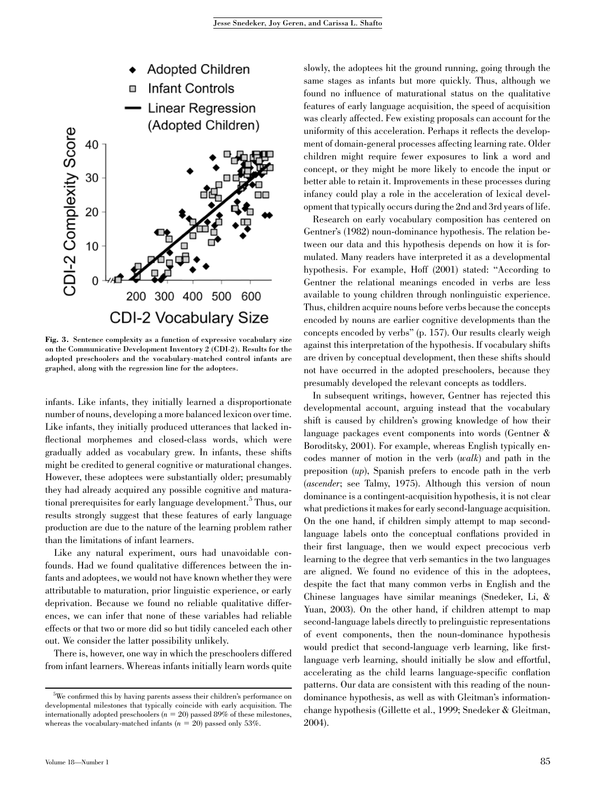

Fig. 3. Sentence complexity as a function of expressive vocabulary size on the Communicative Development Inventory 2 (CDI-2). Results for the adopted preschoolers and the vocabulary-matched control infants are graphed, along with the regression line for the adoptees.

infants. Like infants, they initially learned a disproportionate number of nouns, developing a more balanced lexicon over time. Like infants, they initially produced utterances that lacked inflectional morphemes and closed-class words, which were gradually added as vocabulary grew. In infants, these shifts might be credited to general cognitive or maturational changes. However, these adoptees were substantially older; presumably they had already acquired any possible cognitive and maturational prerequisites for early language development.<sup>5</sup> Thus, our results strongly suggest that these features of early language production are due to the nature of the learning problem rather than the limitations of infant learners.

Like any natural experiment, ours had unavoidable confounds. Had we found qualitative differences between the infants and adoptees, we would not have known whether they were attributable to maturation, prior linguistic experience, or early deprivation. Because we found no reliable qualitative differences, we can infer that none of these variables had reliable effects or that two or more did so but tidily canceled each other out. We consider the latter possibility unlikely.

There is, however, one way in which the preschoolers differed from infant learners. Whereas infants initially learn words quite

concept, or they might be more likely to encode the input or better able to retain it. Improvements in these processes during infancy could play a role in the acceleration of lexical development that typically occurs during the 2nd and 3rd years of life. Research on early vocabulary composition has centered on Gentner's (1982) noun-dominance hypothesis. The relation between our data and this hypothesis depends on how it is formulated. Many readers have interpreted it as a developmental hypothesis. For example, Hoff (2001) stated: ''According to

Gentner the relational meanings encoded in verbs are less available to young children through nonlinguistic experience. Thus, children acquire nouns before verbs because the concepts encoded by nouns are earlier cognitive developments than the concepts encoded by verbs'' (p. 157). Our results clearly weigh against this interpretation of the hypothesis. If vocabulary shifts are driven by conceptual development, then these shifts should not have occurred in the adopted preschoolers, because they presumably developed the relevant concepts as toddlers.

slowly, the adoptees hit the ground running, going through the same stages as infants but more quickly. Thus, although we found no influence of maturational status on the qualitative features of early language acquisition, the speed of acquisition was clearly affected. Few existing proposals can account for the uniformity of this acceleration. Perhaps it reflects the development of domain-general processes affecting learning rate. Older children might require fewer exposures to link a word and

In subsequent writings, however, Gentner has rejected this developmental account, arguing instead that the vocabulary shift is caused by children's growing knowledge of how their language packages event components into words (Gentner & Boroditsky, 2001). For example, whereas English typically encodes manner of motion in the verb (walk) and path in the preposition (up), Spanish prefers to encode path in the verb (ascender; see Talmy, 1975). Although this version of noun dominance is a contingent-acquisition hypothesis, it is not clear what predictions it makes for early second-language acquisition. On the one hand, if children simply attempt to map secondlanguage labels onto the conceptual conflations provided in their first language, then we would expect precocious verb learning to the degree that verb semantics in the two languages are aligned. We found no evidence of this in the adoptees, despite the fact that many common verbs in English and the Chinese languages have similar meanings (Snedeker, Li, & Yuan, 2003). On the other hand, if children attempt to map second-language labels directly to prelinguistic representations of event components, then the noun-dominance hypothesis would predict that second-language verb learning, like firstlanguage verb learning, should initially be slow and effortful, accelerating as the child learns language-specific conflation patterns. Our data are consistent with this reading of the noundominance hypothesis, as well as with Gleitman's informationchange hypothesis (Gillette et al., 1999; Snedeker & Gleitman, 2004).

<sup>&</sup>lt;sup>5</sup>We confirmed this by having parents assess their children's performance on developmental milestones that typically coincide with early acquisition. The internationally adopted preschoolers  $(n = 20)$  passed 89% of these milestones, whereas the vocabulary-matched infants  $(n = 20)$  passed only 53%.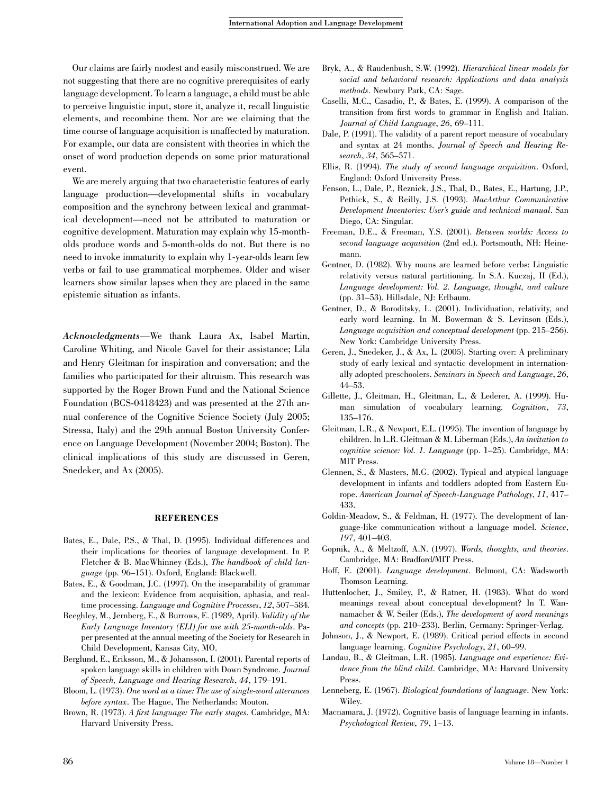Our claims are fairly modest and easily misconstrued. We are not suggesting that there are no cognitive prerequisites of early language development. To learn a language, a child must be able to perceive linguistic input, store it, analyze it, recall linguistic elements, and recombine them. Nor are we claiming that the time course of language acquisition is unaffected by maturation. For example, our data are consistent with theories in which the onset of word production depends on some prior maturational event.

We are merely arguing that two characteristic features of early language production—developmental shifts in vocabulary composition and the synchrony between lexical and grammatical development—need not be attributed to maturation or cognitive development. Maturation may explain why 15-montholds produce words and 5-month-olds do not. But there is no need to invoke immaturity to explain why 1-year-olds learn few verbs or fail to use grammatical morphemes. Older and wiser learners show similar lapses when they are placed in the same epistemic situation as infants.

Acknowledgments—We thank Laura Ax, Isabel Martin, Caroline Whiting, and Nicole Gavel for their assistance; Lila and Henry Gleitman for inspiration and conversation; and the families who participated for their altruism. This research was supported by the Roger Brown Fund and the National Science Foundation (BCS-0418423) and was presented at the 27th annual conference of the Cognitive Science Society (July 2005; Stressa, Italy) and the 29th annual Boston University Conference on Language Development (November 2004; Boston). The clinical implications of this study are discussed in Geren, Snedeker, and Ax (2005).

#### **REFERENCES**

- Bates, E., Dale, P.S., & Thal, D. (1995). Individual differences and their implications for theories of language development. In P. Fletcher & B. MacWhinney (Eds.), The handbook of child language (pp. 96–151). Oxford, England: Blackwell.
- Bates, E., & Goodman, J.C. (1997). On the inseparability of grammar and the lexicon: Evidence from acquisition, aphasia, and realtime processing. Language and Cognitive Processes, 12, 507–584.
- Beeghley, M., Jernberg, E., & Burrows, E. (1989, April). Validity of the Early Language Inventory (ELI) for use with 25-month-olds. Paper presented at the annual meeting of the Society for Research in Child Development, Kansas City, MO.
- Berglund, E., Eriksson, M., & Johansson, I. (2001). Parental reports of spoken language skills in children with Down Syndrome. Journal of Speech, Language and Hearing Research, 44, 179–191.
- Bloom, L. (1973). One word at a time: The use of single-word utterances before syntax. The Hague, The Netherlands: Mouton.
- Brown, R. (1973). A first language: The early stages. Cambridge, MA: Harvard University Press.
- Bryk, A., & Raudenbush, S.W. (1992). Hierarchical linear models for social and behavioral research: Applications and data analysis methods. Newbury Park, CA: Sage.
- Caselli, M.C., Casadio, P., & Bates, E. (1999). A comparison of the transition from first words to grammar in English and Italian. Journal of Child Language, 26, 69–111.
- Dale, P. (1991). The validity of a parent report measure of vocabulary and syntax at 24 months. Journal of Speech and Hearing Research, 34, 565–571.
- Ellis, R. (1994). The study of second language acquisition. Oxford, England: Oxford University Press.
- Fenson, L., Dale, P., Reznick, J.S., Thal, D., Bates, E., Hartung, J.P., Pethick, S., & Reilly, J.S. (1993). MacArthur Communicative Development Inventories: User's guide and technical manual. San Diego, CA: Singular.
- Freeman, D.E., & Freeman, Y.S. (2001). Between worlds: Access to second language acquisition (2nd ed.). Portsmouth, NH: Heinemann.
- Gentner, D. (1982). Why nouns are learned before verbs: Linguistic relativity versus natural partitioning. In S.A. Kuczaj, II (Ed.), Language development: Vol. 2. Language, thought, and culture (pp. 31–53). Hillsdale, NJ: Erlbaum.
- Gentner, D., & Boroditsky, L. (2001). Individuation, relativity, and early word learning. In M. Bowerman & S. Levinson (Eds.), Language acquisition and conceptual development (pp. 215–256). New York: Cambridge University Press.
- Geren, J., Snedeker, J., & Ax, L. (2005). Starting over: A preliminary study of early lexical and syntactic development in internationally adopted preschoolers. Seminars in Speech and Language, 26, 44–53.
- Gillette, J., Gleitman, H., Gleitman, L., & Lederer, A. (1999). Human simulation of vocabulary learning. Cognition, 73, 135–176.
- Gleitman, L.R., & Newport, E.L. (1995). The invention of language by children. In L.R. Gleitman & M. Liberman (Eds.), An invitation to cognitive science: Vol. 1. Language (pp. 1–25). Cambridge, MA: MIT Press.
- Glennen, S., & Masters, M.G. (2002). Typical and atypical language development in infants and toddlers adopted from Eastern Europe. American Journal of Speech-Language Pathology, 11, 417– 433.
- Goldin-Meadow, S., & Feldman, H. (1977). The development of language-like communication without a language model. Science, 197, 401–403.
- Gopnik, A., & Meltzoff, A.N. (1997). Words, thoughts, and theories. Cambridge, MA: Bradford/MIT Press.
- Hoff, E. (2001). Language development. Belmont, CA: Wadsworth Thomson Learning.
- Huttenlocher, J., Smiley, P., & Ratner, H. (1983). What do word meanings reveal about conceptual development? In T. Wannamacher & W. Seiler (Eds.), The development of word meanings and concepts (pp. 210–233). Berlin, Germany: Springer-Verlag.
- Johnson, J., & Newport, E. (1989). Critical period effects in second language learning. Cognitive Psychology, 21, 60–99.
- Landau, B., & Gleitman, L.R. (1985). Language and experience: Evidence from the blind child. Cambridge, MA: Harvard University Press.
- Lenneberg, E. (1967). Biological foundations of language. New York: Wiley.
- Macnamara, J. (1972). Cognitive basis of language learning in infants. Psychological Review, 79, 1–13.